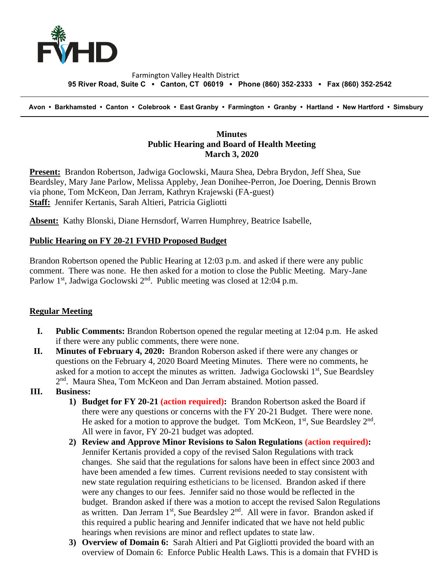

#### Farmington Valley Health District  **95 River Road, Suite C ▪ Canton, CT 06019 ▪ Phone (860) 352-2333 ▪ Fax (860) 352-2542**

 **Avon • Barkhamsted • Canton • Colebrook • East Granby • Farmington • Granby • Hartland • New Hartford • Simsbury**

## **Minutes Public Hearing and Board of Health Meeting March 3, 2020**

**Present:** Brandon Robertson, Jadwiga Goclowski, Maura Shea, Debra Brydon, Jeff Shea, Sue Beardsley, Mary Jane Parlow, Melissa Appleby, Jean Donihee-Perron, Joe Doering, Dennis Brown via phone, Tom McKeon, Dan Jerram, Kathryn Krajewski (FA-guest) **Staff:** Jennifer Kertanis, Sarah Altieri, Patricia Gigliotti

**Absent:** Kathy Blonski, Diane Hernsdorf, Warren Humphrey, Beatrice Isabelle,

## **Public Hearing on FY 20-21 FVHD Proposed Budget**

Brandon Robertson opened the Public Hearing at 12:03 p.m. and asked if there were any public comment. There was none. He then asked for a motion to close the Public Meeting. Mary-Jane Parlow 1<sup>st</sup>, Jadwiga Goclowski  $2<sup>nd</sup>$ . Public meeting was closed at 12:04 p.m.

# **Regular Meeting**

- **I. Public Comments:** Brandon Robertson opened the regular meeting at 12:04 p.m. He asked if there were any public comments, there were none.
- **II. Minutes of February 4, 2020:** Brandon Roberson asked if there were any changes or questions on the February 4, 2020 Board Meeting Minutes. There were no comments, he asked for a motion to accept the minutes as written. Jadwiga Goclowski  $1<sup>st</sup>$ , Sue Beardsley 2<sup>nd</sup>. Maura Shea, Tom McKeon and Dan Jerram abstained. Motion passed.

### **III. Business:**

- **1) Budget for FY 20-21 (action required):** Brandon Robertson asked the Board if there were any questions or concerns with the FY 20-21 Budget. There were none. He asked for a motion to approve the budget. Tom McKeon,  $1<sup>st</sup>$ , Sue Beardsley  $2<sup>nd</sup>$ . All were in favor, FY 20-21 budget was adopted.
- **2) Review and Approve Minor Revisions to Salon Regulations (action required):**  Jennifer Kertanis provided a copy of the revised Salon Regulations with track changes. She said that the regulations for salons have been in effect since 2003 and have been amended a few times. Current revisions needed to stay consistent with new state regulation requiring estheticians to be licensed. Brandon asked if there were any changes to our fees. Jennifer said no those would be reflected in the budget. Brandon asked if there was a motion to accept the revised Salon Regulations as written. Dan Jerram 1<sup>st</sup>, Sue Beardsley 2<sup>nd</sup>. All were in favor. Brandon asked if this required a public hearing and Jennifer indicated that we have not held public hearings when revisions are minor and reflect updates to state law.
- **3) Overview of Domain 6:** Sarah Altieri and Pat Gigliotti provided the board with an overview of Domain 6: Enforce Public Health Laws. This is a domain that FVHD is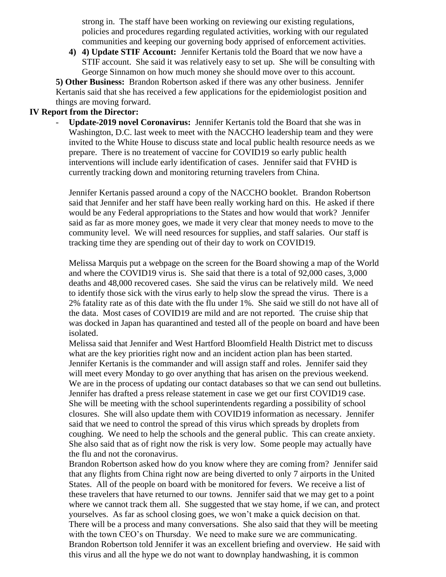strong in. The staff have been working on reviewing our existing regulations, policies and procedures regarding regulated activities, working with our regulated communities and keeping our governing body apprised of enforcement activities.

**4) 4) Update STIF Account:** Jennifer Kertanis told the Board that we now have a STIF account. She said it was relatively easy to set up. She will be consulting with George Sinnamon on how much money she should move over to this account.

**5) Other Business:** Brandon Robertson asked if there was any other business. Jennifer Kertanis said that she has received a few applications for the epidemiologist position and things are moving forward.

## **IV Report from the Director:**

- **Update-2019 novel Coronavirus:** Jennifer Kertanis told the Board that she was in Washington, D.C. last week to meet with the NACCHO leadership team and they were invited to the White House to discuss state and local public health resource needs as we prepare. There is no treatement of vaccine for COVID19 so early public health interventions will include early identification of cases. Jennifer said that FVHD is currently tracking down and monitoring returning travelers from China.

Jennifer Kertanis passed around a copy of the NACCHO booklet. Brandon Robertson said that Jennifer and her staff have been really working hard on this. He asked if there would be any Federal appropriations to the States and how would that work? Jennifer said as far as more money goes, we made it very clear that money needs to move to the community level. We will need resources for supplies, and staff salaries. Our staff is tracking time they are spending out of their day to work on COVID19.

Melissa Marquis put a webpage on the screen for the Board showing a map of the World and where the COVID19 virus is. She said that there is a total of 92,000 cases, 3,000 deaths and 48,000 recovered cases. She said the virus can be relatively mild. We need to identify those sick with the virus early to help slow the spread the virus. There is a 2% fatality rate as of this date with the flu under 1%. She said we still do not have all of the data. Most cases of COVID19 are mild and are not reported. The cruise ship that was docked in Japan has quarantined and tested all of the people on board and have been isolated.

Melissa said that Jennifer and West Hartford Bloomfield Health District met to discuss what are the key priorities right now and an incident action plan has been started. Jennifer Kertanis is the commander and will assign staff and roles. Jennifer said they will meet every Monday to go over anything that has arisen on the previous weekend. We are in the process of updating our contact databases so that we can send out bulletins. Jennifer has drafted a press release statement in case we get our first COVID19 case. She will be meeting with the school superintendents regarding a possibility of school closures. She will also update them with COVID19 information as necessary. Jennifer said that we need to control the spread of this virus which spreads by droplets from coughing. We need to help the schools and the general public. This can create anxiety. She also said that as of right now the risk is very low. Some people may actually have the flu and not the coronavirus.

Brandon Robertson asked how do you know where they are coming from? Jennifer said that any flights from China right now are being diverted to only 7 airports in the United States. All of the people on board with be monitored for fevers. We receive a list of these travelers that have returned to our towns. Jennifer said that we may get to a point where we cannot track them all. She suggested that we stay home, if we can, and protect yourselves. As far as school closing goes, we won't make a quick decision on that. There will be a process and many conversations. She also said that they will be meeting with the town CEO's on Thursday. We need to make sure we are communicating. Brandon Robertson told Jennifer it was an excellent briefing and overview. He said with this virus and all the hype we do not want to downplay handwashing, it is common